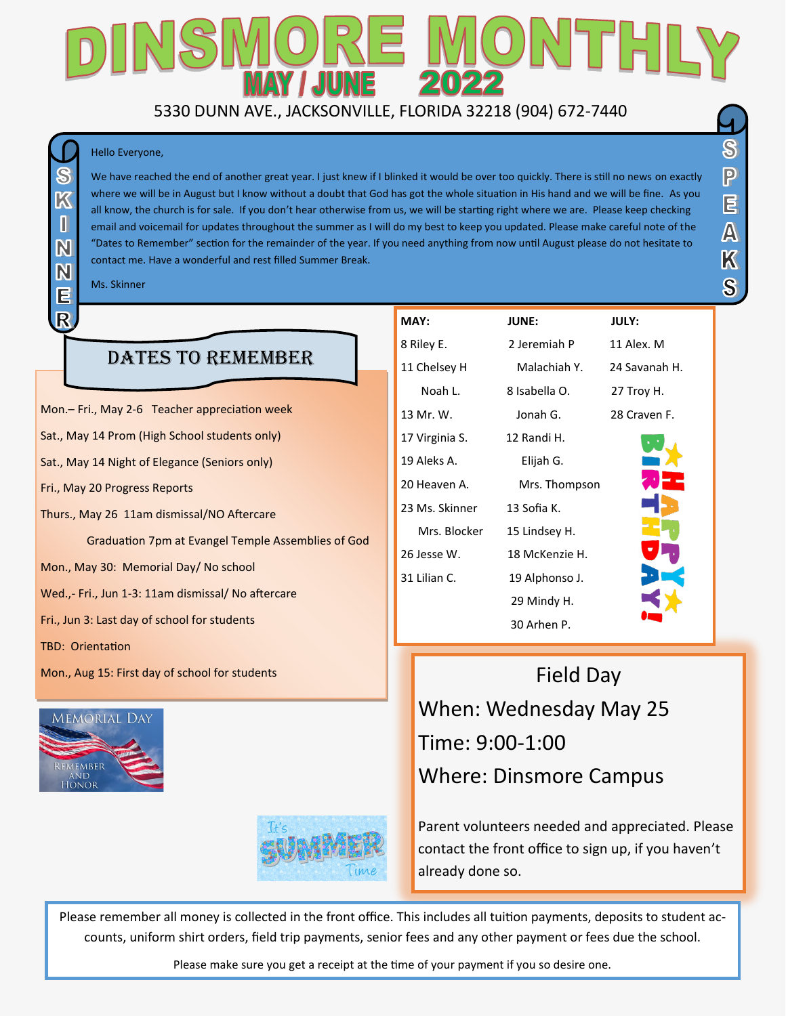### AY / JUNE 5330 DUNN AVE., JACKSONVILLE, FLORIDA 32218 (904) 672-7440

#### Hello Everyone,

We have reached the end of another great year. I just knew if I blinked it would be over too quickly. There is still no news on exactly where we will be in August but I know without a doubt that God has got the whole situation in His hand and we will be fine. As you all know, the church is for sale. If you don't hear otherwise from us, we will be starting right where we are. Please keep checking email and voicemail for updates throughout the summer as I will do my best to keep you updated. Please make careful note of the "Dates to Remember" section for the remainder of the year. If you need anything from now until August please do not hesitate to contact me. Have a wonderful and rest filled Summer Break.

Ms. Skinner

 $\overline{\mathcal{K}}$ 

M

N

E  $\overline{\mathsf{R}}$ 

### DATES TO REMEMBER

Mon.– Fri., May 2-6 Teacher appreciation week Sat., May 14 Prom (High School students only) Sat., May 14 Night of Elegance (Seniors only) Fri., May 20 Progress Reports Thurs., May 26 11am dismissal/NO Aftercare Graduation 7pm at Evangel Temple Assemblies of God Mon., May 30: Memorial Day/ No school Wed.,- Fri., Jun 1-3: 11am dismissal/ No aftercare Fri., Jun 3: Last day of school for students TBD: Orientation

Mon., Aug 15: First day of school for students





| MAY:           | <b>JUNE:</b>   | <b>JULY:</b> |
|----------------|----------------|--------------|
| 8 Riley E.     | 2 Jeremiah P   | 11 Ale       |
| 11 Chelsey H   | Malachiah Y.   | 24 Sa        |
| Noah L.        | 8 Isabella O.  | 27 Tr        |
| 13 Mr. W.      | Jonah G.       | 28 Cr        |
| 17 Virginia S. | 12 Randi H.    |              |
| 19 Aleks A.    | Elijah G.      |              |
| 20 Heaven A.   | Mrs. Thompson  |              |
| 23 Ms. Skinner | 13 Sofia K.    |              |
| Mrs. Blocker   | 15 Lindsey H.  |              |
| 26 Jesse W.    | 18 McKenzie H. |              |
| 31 Lilian C.   | 19 Alphonso J. |              |
|                | 29 Mindy H.    |              |

P. 11 Alex. M. h Y. 24 Savanah H.  $D.$  27 Troy H. mpson



 $\mathbf{\Im}$ 

၉

E

 $\overline{\mathbb{A}}$ 

 $\overline{\mathbb{X}}$ 

 $\bf S$ 

Field Day When: Wednesday May 25 Time: 9:00-1:00 Where: Dinsmore Campus

30 Arhen P.

Parent volunteers needed and appreciated. Please contact the front office to sign up, if you haven't already done so.

Please remember all money is collected in the front office. This includes all tuition payments, deposits to student accounts, uniform shirt orders, field trip payments, senior fees and any other payment or fees due the school.

Please make sure you get a receipt at the time of your payment if you so desire one.